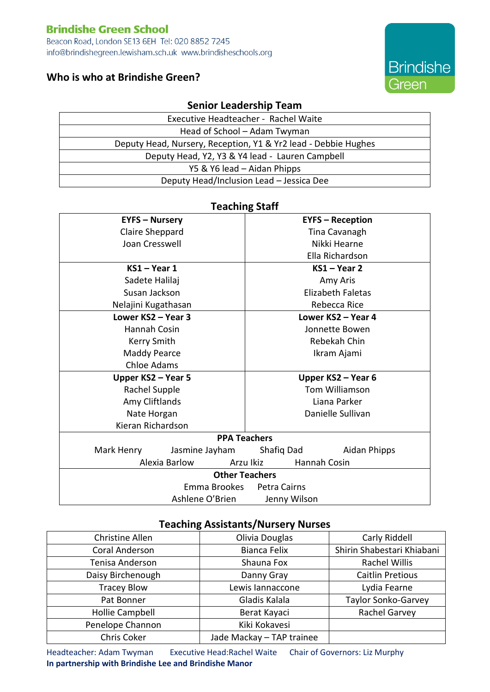# **Brindishe Green School**

Beacon Road, London SE13 6EH Tel: 020 8852 7245 info@brindishegreen.lewisham.sch.uk www.brindisheschools.org

# **Who is who at Brindishe Green?**

#### **Senior Leadership Team**

**Brindishe** 

Green

| Executive Headteacher - Rachel Waite                           |  |
|----------------------------------------------------------------|--|
| Head of School – Adam Twyman                                   |  |
| Deputy Head, Nursery, Reception, Y1 & Yr2 lead - Debbie Hughes |  |
| Deputy Head, Y2, Y3 & Y4 lead - Lauren Campbell                |  |
| Y5 & Y6 lead - Aidan Phipps                                    |  |
| Deputy Head/Inclusion Lead - Jessica Dee                       |  |

## **Teaching Staff**

| <b>EYFS - Nursery</b>               | <b>EYFS - Reception</b>    |  |  |  |
|-------------------------------------|----------------------------|--|--|--|
| Claire Sheppard                     | Tina Cavanagh              |  |  |  |
| Joan Cresswell                      | Nikki Hearne               |  |  |  |
|                                     | Ella Richardson            |  |  |  |
| $KS1 - Year1$                       | $KS1 - Year2$              |  |  |  |
| Sadete Halilaj                      | Amy Aris                   |  |  |  |
| Susan Jackson                       | <b>Elizabeth Faletas</b>   |  |  |  |
| Nelajini Kugathasan                 | Rebecca Rice               |  |  |  |
| Lower KS2 - Year 3                  | Lower KS2 - Year 4         |  |  |  |
| <b>Hannah Cosin</b>                 | Jonnette Bowen             |  |  |  |
| <b>Kerry Smith</b>                  | Rebekah Chin               |  |  |  |
| <b>Maddy Pearce</b>                 | Ikram Ajami                |  |  |  |
| <b>Chloe Adams</b>                  |                            |  |  |  |
| Upper KS2 - Year 5                  | Upper KS2 - Year 6         |  |  |  |
| Rachel Supple                       | <b>Tom Williamson</b>      |  |  |  |
| Amy Cliftlands                      | Liana Parker               |  |  |  |
| Nate Horgan                         | Danielle Sullivan          |  |  |  |
| Kieran Richardson                   |                            |  |  |  |
| <b>PPA Teachers</b>                 |                            |  |  |  |
| Mark Henry<br>Jasmine Jayham        | Shafiq Dad<br>Aidan Phipps |  |  |  |
| Alexia Barlow                       | Arzu Ikiz<br>Hannah Cosin  |  |  |  |
| <b>Other Teachers</b>               |                            |  |  |  |
| Emma Brookes<br><b>Petra Cairns</b> |                            |  |  |  |
| Ashlene O'Brien<br>Jenny Wilson     |                            |  |  |  |

### **Teaching Assistants/Nursery Nurses**

| Christine Allen    | Olivia Douglas            | Carly Riddell              |
|--------------------|---------------------------|----------------------------|
| Coral Anderson     | <b>Bianca Felix</b>       | Shirin Shabestari Khiabani |
| Tenisa Anderson    | Shauna Fox                | <b>Rachel Willis</b>       |
| Daisy Birchenough  | Danny Gray                | <b>Caitlin Pretious</b>    |
| <b>Tracey Blow</b> | Lewis lannaccone          | Lydia Fearne               |
| Pat Bonner         | Gladis Kalala             | <b>Taylor Sonko-Garvey</b> |
| Hollie Campbell    | Berat Kayaci              | Rachel Garvey              |
| Penelope Channon   | Kiki Kokavesi             |                            |
| Chris Coker        | Jade Mackay - TAP trainee |                            |

Headteacher: Adam Twyman Executive Head:Rachel Waite Chair of Governors: Liz Murphy **In partnership with Brindishe Lee and Brindishe Manor**